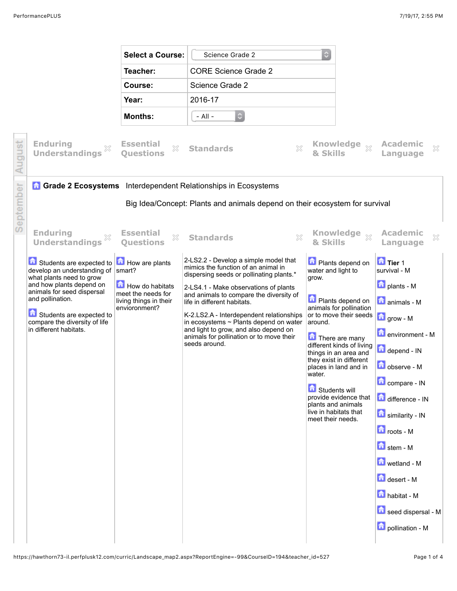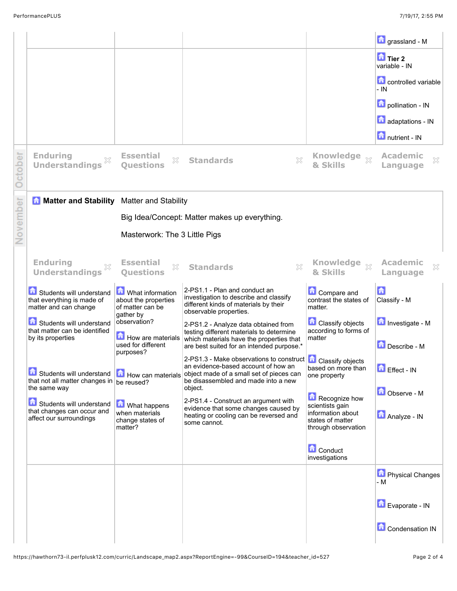|       |                                                                                                   |                                                                           |                                                                                                                                                                                              |                                                                                                  | <b>n</b> grassland - M                      |  |  |  |
|-------|---------------------------------------------------------------------------------------------------|---------------------------------------------------------------------------|----------------------------------------------------------------------------------------------------------------------------------------------------------------------------------------------|--------------------------------------------------------------------------------------------------|---------------------------------------------|--|--|--|
|       |                                                                                                   |                                                                           |                                                                                                                                                                                              |                                                                                                  | <b>D</b> Tier 2<br>variable - IN            |  |  |  |
|       |                                                                                                   |                                                                           |                                                                                                                                                                                              |                                                                                                  | controlled variable<br>- IN                 |  |  |  |
|       |                                                                                                   |                                                                           |                                                                                                                                                                                              |                                                                                                  | pollination - IN                            |  |  |  |
|       |                                                                                                   |                                                                           |                                                                                                                                                                                              |                                                                                                  | adaptations - IN                            |  |  |  |
|       |                                                                                                   |                                                                           |                                                                                                                                                                                              |                                                                                                  | nutrient - IN                               |  |  |  |
|       | <b>Enduring</b><br>X<br><b>Understandings</b>                                                     | <b>Essential</b><br>×<br><b>Ouestions</b>                                 | $\boldsymbol{\mathsf{X}}$<br><b>Standards</b>                                                                                                                                                | <b>Knowledge</b><br>$\bar{\chi}^o$<br>& Skills                                                   | <b>Academic</b><br>X<br>Language            |  |  |  |
|       | <b>A Matter and Stability</b> Matter and Stability                                                |                                                                           |                                                                                                                                                                                              |                                                                                                  |                                             |  |  |  |
| ember | Big Idea/Concept: Matter makes up everything.                                                     |                                                                           |                                                                                                                                                                                              |                                                                                                  |                                             |  |  |  |
|       | Masterwork: The 3 Little Pigs                                                                     |                                                                           |                                                                                                                                                                                              |                                                                                                  |                                             |  |  |  |
|       | <b>Enduring</b><br><b>Understandings</b>                                                          | <b>Essential</b><br>53<br><b>Questions</b>                                | $\chi$<br><b>Standards</b>                                                                                                                                                                   | <b>Knowledge</b><br>$\S 2$<br>& Skills                                                           | <b>Academic</b><br>$\mathbb{X}$<br>Language |  |  |  |
|       | Students will understand<br>that everything is made of<br>matter and can change                   | What information<br>about the properties<br>of matter can be<br>gather by | 2-PS1.1 - Plan and conduct an<br>investigation to describe and classify<br>different kinds of materials by their<br>observable properties.                                                   | <b>Compare and</b><br>contrast the states of<br>matter.                                          | 「击<br>Classify - M                          |  |  |  |
|       | Students will understand<br>that matter can be identified<br>by its properties                    | observation?<br>How are materials<br>used for different                   | 2-PS1.2 - Analyze data obtained from<br>testing different materials to determine<br>which materials have the properties that<br>are best suited for an intended purpose.*                    | <b>Classify objects</b><br>according to forms of<br>matter                                       | Investigate - M<br>Describe - M             |  |  |  |
|       | Students will understand<br>that not all matter changes in   be reused?                           | purposes?<br>How can materials                                            | 2-PS1.3 - Make observations to construct <b>C</b> Classify objects<br>an evidence-based account of how an<br>object made of a small set of pieces can<br>be disassembled and made into a new | based on more than<br>one property                                                               | Effect - IN                                 |  |  |  |
|       | the same way<br>Students will understand<br>that changes can occur and<br>affect our surroundings | What happens<br>when materials<br>change states of<br>matter?             | object.<br>2-PS1.4 - Construct an argument with<br>evidence that some changes caused by<br>heating or cooling can be reversed and<br>some cannot.                                            | Recognize how<br>scientists gain<br>information about<br>states of matter<br>through observation | Observe - M<br>Analyze - IN                 |  |  |  |
|       |                                                                                                   |                                                                           |                                                                                                                                                                                              | <b>Conduct</b><br>investigations                                                                 |                                             |  |  |  |
|       |                                                                                                   |                                                                           |                                                                                                                                                                                              |                                                                                                  | <b>D</b> Physical Changes<br>- M            |  |  |  |
|       |                                                                                                   |                                                                           |                                                                                                                                                                                              |                                                                                                  | Evaporate - IN                              |  |  |  |
|       |                                                                                                   |                                                                           |                                                                                                                                                                                              |                                                                                                  | Condensation IN                             |  |  |  |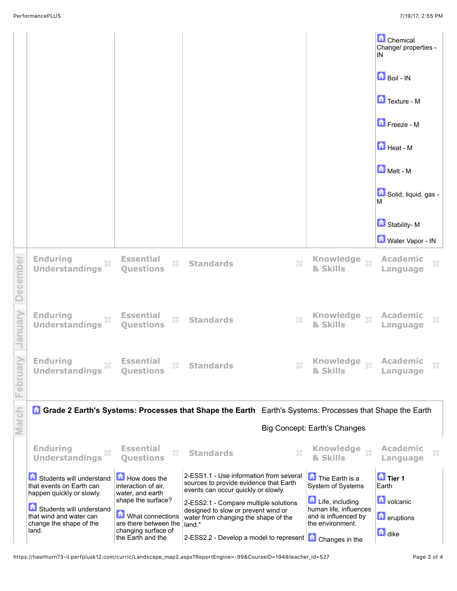